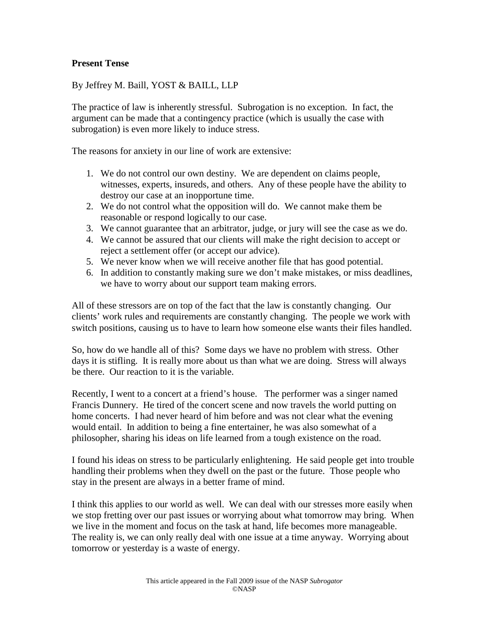## **Present Tense**

By Jeffrey M. Baill, YOST & BAILL, LLP

The practice of law is inherently stressful. Subrogation is no exception. In fact, the argument can be made that a contingency practice (which is usually the case with subrogation) is even more likely to induce stress.

The reasons for anxiety in our line of work are extensive:

- 1. We do not control our own destiny. We are dependent on claims people, witnesses, experts, insureds, and others. Any of these people have the ability to destroy our case at an inopportune time.
- 2. We do not control what the opposition will do. We cannot make them be reasonable or respond logically to our case.
- 3. We cannot guarantee that an arbitrator, judge, or jury will see the case as we do.
- 4. We cannot be assured that our clients will make the right decision to accept or reject a settlement offer (or accept our advice).
- 5. We never know when we will receive another file that has good potential.
- 6. In addition to constantly making sure we don't make mistakes, or miss deadlines, we have to worry about our support team making errors.

All of these stressors are on top of the fact that the law is constantly changing. Our clients' work rules and requirements are constantly changing. The people we work with switch positions, causing us to have to learn how someone else wants their files handled.

So, how do we handle all of this? Some days we have no problem with stress. Other days it is stifling. It is really more about us than what we are doing. Stress will always be there. Our reaction to it is the variable.

Recently, I went to a concert at a friend's house. The performer was a singer named Francis Dunnery. He tired of the concert scene and now travels the world putting on home concerts. I had never heard of him before and was not clear what the evening would entail. In addition to being a fine entertainer, he was also somewhat of a philosopher, sharing his ideas on life learned from a tough existence on the road.

I found his ideas on stress to be particularly enlightening. He said people get into trouble handling their problems when they dwell on the past or the future. Those people who stay in the present are always in a better frame of mind.

I think this applies to our world as well. We can deal with our stresses more easily when we stop fretting over our past issues or worrying about what tomorrow may bring. When we live in the moment and focus on the task at hand, life becomes more manageable. The reality is, we can only really deal with one issue at a time anyway. Worrying about tomorrow or yesterday is a waste of energy.